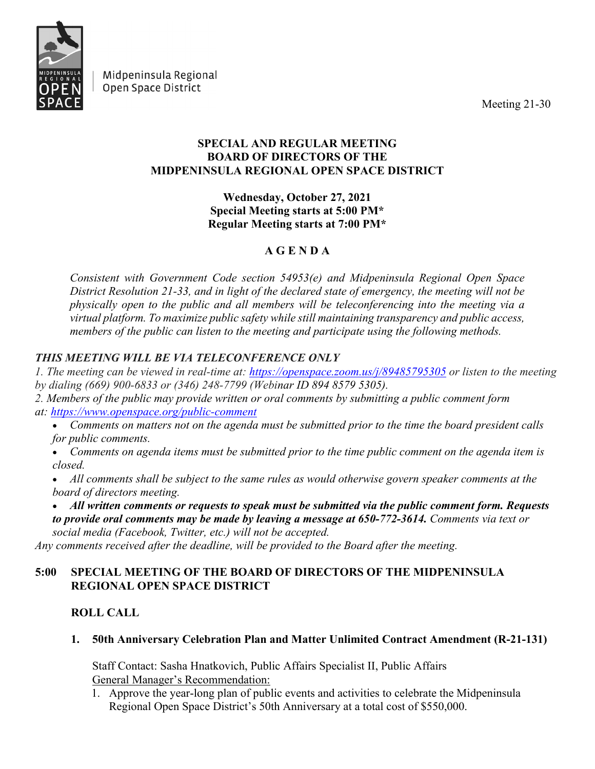

Midpeninsula Regional Open Space District

Meeting 21-30

## **SPECIAL AND REGULAR MEETING BOARD OF DIRECTORS OF THE MIDPENINSULA REGIONAL OPEN SPACE DISTRICT**

**Wednesday, October 27, 2021 Special Meeting starts at 5:00 PM\* Regular Meeting starts at 7:00 PM\***

# **A G E N D A**

*Consistent with Government Code section 54953(e) and Midpeninsula Regional Open Space District Resolution 21-33, and in light of the declared state of emergency, the meeting will not be physically open to the public and all members will be teleconferencing into the meeting via a virtual platform. To maximize public safety while still maintaining transparency and public access, members of the public can listen to the meeting and participate using the following methods.*

# *THIS MEETING WILL BE VIA TELECONFERENCE ONLY*

*1. The meeting can be viewed in real-time at: <https://openspace.zoom.us/j/89485795305> or listen to the meeting by dialing (669) 900-6833 or (346) 248-7799 (Webinar ID 894 8579 5305).*

*2. Members of the public may provide written or oral comments by submitting a public comment form at: <https://www.openspace.org/public-comment>*

• *Comments on matters not on the agenda must be submitted prior to the time the board president calls for public comments.*

• *Comments on agenda items must be submitted prior to the time public comment on the agenda item is closed.*

• *All comments shall be subject to the same rules as would otherwise govern speaker comments at the board of directors meeting.*

• *All written comments or requests to speak must be submitted via the public comment form. Requests to provide oral comments may be made by leaving a message at 650-772-3614. Comments via text or social media (Facebook, Twitter, etc.) will not be accepted.*

*Any comments received after the deadline, will be provided to the Board after the meeting.*

# **5:00 SPECIAL MEETING OF THE BOARD OF DIRECTORS OF THE MIDPENINSULA REGIONAL OPEN SPACE DISTRICT**

# **ROLL CALL**

# **1. 50th Anniversary Celebration Plan and Matter Unlimited Contract Amendment (R-21-131)**

Staff Contact: Sasha Hnatkovich, Public Affairs Specialist II, Public Affairs General Manager's Recommendation:

1. Approve the year-long plan of public events and activities to celebrate the Midpeninsula Regional Open Space District's 50th Anniversary at a total cost of \$550,000.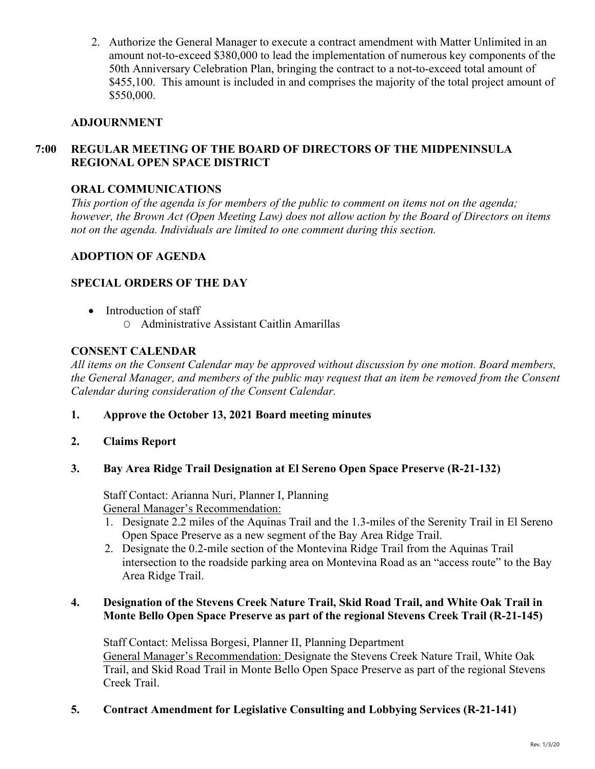2. Authorize the General Manager to execute a contract amendment with Matter Unlimited in an amount not-to-exceed \$380,000 to lead the implementation of numerous key components of the 50th Anniversary Celebration Plan, bringing the contract to a not-to-exceed total amount of \$455,100. This amount is included in and comprises the majority of the total project amount of \$550,000.

## **ADJOURNMENT**

## **7:00 REGULAR MEETING OF THE BOARD OF DIRECTORS OF THE MIDPENINSULA REGIONAL OPEN SPACE DISTRICT**

## **ORAL COMMUNICATIONS**

*This portion of the agenda is for members of the public to comment on items not on the agenda; however, the Brown Act (Open Meeting Law) does not allow action by the Board of Directors on items not on the agenda. Individuals are limited to one comment during this section.*

## **ADOPTION OF AGENDA**

## **SPECIAL ORDERS OF THE DAY**

• Introduction of staff O Administrative Assistant Caitlin Amarillas

### **CONSENT CALENDAR**

*All items on the Consent Calendar may be approved without discussion by one motion. Board members, the General Manager, and members of the public may request that an item be removed from the Consent Calendar during consideration of the Consent Calendar.*

**1. Approve the October 13, 2021 Board meeting minutes**

#### **2. Claims Report**

#### **3. Bay Area Ridge Trail Designation at El Sereno Open Space Preserve (R-21-132)**

Staff Contact: Arianna Nuri, Planner I, Planning General Manager's Recommendation:

- 1. Designate 2.2 miles of the Aquinas Trail and the 1.3-miles of the Serenity Trail in El Sereno Open Space Preserve as a new segment of the Bay Area Ridge Trail.
- 2. Designate the 0.2-mile section of the Montevina Ridge Trail from the Aquinas Trail intersection to the roadside parking area on Montevina Road as an "access route" to the Bay Area Ridge Trail.

### **4. Designation of the Stevens Creek Nature Trail, Skid Road Trail, and White Oak Trail in Monte Bello Open Space Preserve as part of the regional Stevens Creek Trail (R-21-145)**

Staff Contact: Melissa Borgesi, Planner II, Planning Department General Manager's Recommendation: Designate the Stevens Creek Nature Trail, White Oak Trail, and Skid Road Trail in Monte Bello Open Space Preserve as part of the regional Stevens Creek Trail.

#### **5. Contract Amendment for Legislative Consulting and Lobbying Services (R-21-141)**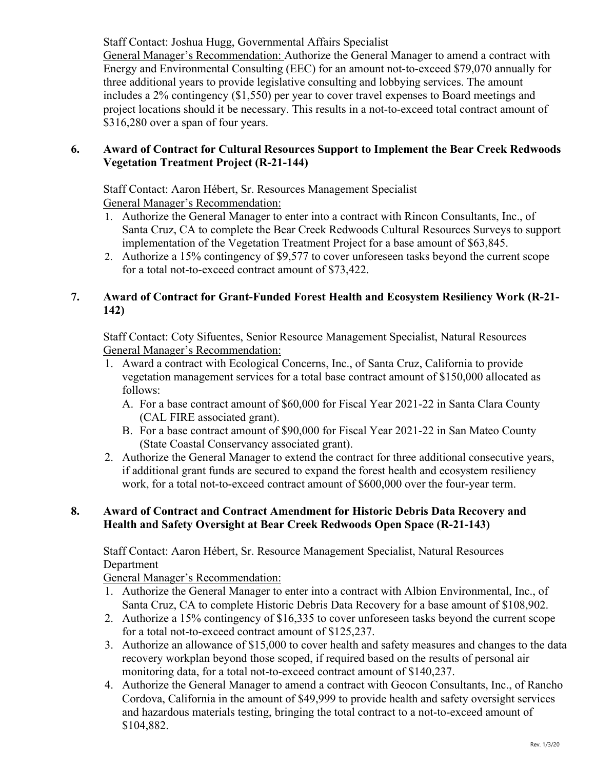Staff Contact: Joshua Hugg, Governmental Affairs Specialist

General Manager's Recommendation: Authorize the General Manager to amend a contract with Energy and Environmental Consulting (EEC) for an amount not-to-exceed \$79,070 annually for three additional years to provide legislative consulting and lobbying services. The amount includes a 2% contingency (\$1,550) per year to cover travel expenses to Board meetings and project locations should it be necessary. This results in a not-to-exceed total contract amount of \$316,280 over a span of four years.

## **6. Award of Contract for Cultural Resources Support to Implement the Bear Creek Redwoods Vegetation Treatment Project (R-21-144)**

Staff Contact: Aaron Hébert, Sr. Resources Management Specialist General Manager's Recommendation:

- 1. Authorize the General Manager to enter into a contract with Rincon Consultants, Inc., of Santa Cruz, CA to complete the Bear Creek Redwoods Cultural Resources Surveys to support implementation of the Vegetation Treatment Project for a base amount of \$63,845.
- 2. Authorize a 15% contingency of \$9,577 to cover unforeseen tasks beyond the current scope for a total not-to-exceed contract amount of \$73,422.

## **7. Award of Contract for Grant-Funded Forest Health and Ecosystem Resiliency Work (R-21- 142)**

Staff Contact: Coty Sifuentes, Senior Resource Management Specialist, Natural Resources General Manager's Recommendation:

- 1. Award a contract with Ecological Concerns, Inc., of Santa Cruz, California to provide vegetation management services for a total base contract amount of \$150,000 allocated as follows:
	- A. For a base contract amount of \$60,000 for Fiscal Year 2021-22 in Santa Clara County (CAL FIRE associated grant).
	- B. For a base contract amount of \$90,000 for Fiscal Year 2021-22 in San Mateo County (State Coastal Conservancy associated grant).
- 2. Authorize the General Manager to extend the contract for three additional consecutive years, if additional grant funds are secured to expand the forest health and ecosystem resiliency work, for a total not-to-exceed contract amount of \$600,000 over the four-year term.

## **8. Award of Contract and Contract Amendment for Historic Debris Data Recovery and Health and Safety Oversight at Bear Creek Redwoods Open Space (R-21-143)**

Staff Contact: Aaron Hébert, Sr. Resource Management Specialist, Natural Resources Department

General Manager's Recommendation:

- 1. Authorize the General Manager to enter into a contract with Albion Environmental, Inc., of Santa Cruz, CA to complete Historic Debris Data Recovery for a base amount of \$108,902.
- 2. Authorize a 15% contingency of \$16,335 to cover unforeseen tasks beyond the current scope for a total not-to-exceed contract amount of \$125,237.
- 3. Authorize an allowance of \$15,000 to cover health and safety measures and changes to the data recovery workplan beyond those scoped, if required based on the results of personal air monitoring data, for a total not-to-exceed contract amount of \$140,237.
- 4. Authorize the General Manager to amend a contract with Geocon Consultants, Inc., of Rancho Cordova, California in the amount of \$49,999 to provide health and safety oversight services and hazardous materials testing, bringing the total contract to a not-to-exceed amount of \$104,882.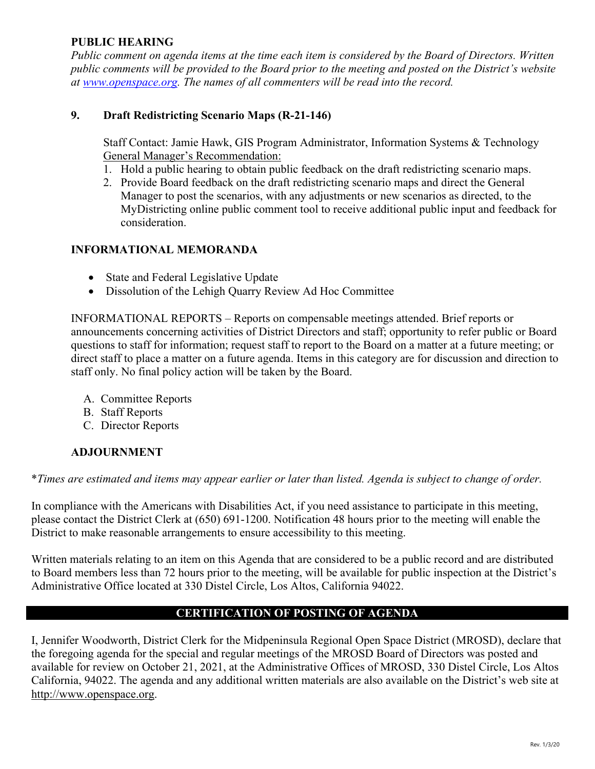## **PUBLIC HEARING**

*Public comment on agenda items at the time each item is considered by the Board of Directors. Written public comments will be provided to the Board prior to the meeting and posted on the District's website at [www.openspace.org.](http://www.openspace.org/) The names of all commenters will be read into the record.* 

## **9. Draft Redistricting Scenario Maps (R-21-146)**

Staff Contact: Jamie Hawk, GIS Program Administrator, Information Systems & Technology General Manager's Recommendation:

- 1. Hold a public hearing to obtain public feedback on the draft redistricting scenario maps.
- 2. Provide Board feedback on the draft redistricting scenario maps and direct the General Manager to post the scenarios, with any adjustments or new scenarios as directed, to the MyDistricting online public comment tool to receive additional public input and feedback for consideration.

#### **INFORMATIONAL MEMORANDA**

- State and Federal Legislative Update
- Dissolution of the Lehigh Quarry Review Ad Hoc Committee

INFORMATIONAL REPORTS – Reports on compensable meetings attended. Brief reports or announcements concerning activities of District Directors and staff; opportunity to refer public or Board questions to staff for information; request staff to report to the Board on a matter at a future meeting; or direct staff to place a matter on a future agenda. Items in this category are for discussion and direction to staff only. No final policy action will be taken by the Board.

- A. Committee Reports
- B. Staff Reports
- C. Director Reports

## **ADJOURNMENT**

\**Times are estimated and items may appear earlier or later than listed. Agenda is subject to change of order.* 

In compliance with the Americans with Disabilities Act, if you need assistance to participate in this meeting, please contact the District Clerk at (650) 691-1200. Notification 48 hours prior to the meeting will enable the District to make reasonable arrangements to ensure accessibility to this meeting.

Written materials relating to an item on this Agenda that are considered to be a public record and are distributed to Board members less than 72 hours prior to the meeting, will be available for public inspection at the District's Administrative Office located at 330 Distel Circle, Los Altos, California 94022.

#### **CERTIFICATION OF POSTING OF AGENDA**

I, Jennifer Woodworth, District Clerk for the Midpeninsula Regional Open Space District (MROSD), declare that the foregoing agenda for the special and regular meetings of the MROSD Board of Directors was posted and available for review on October 21, 2021, at the Administrative Offices of MROSD, 330 Distel Circle, Los Altos California, 94022. The agenda and any additional written materials are also available on the District's web site at [http://www.openspace.org.](http://www.openspace.org/)